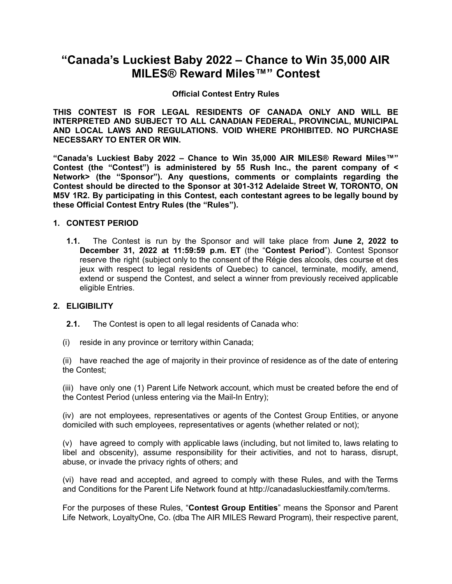# **"Canada's Luckiest Baby 2022 – Chance to Win 35,000 AIR MILES® Reward Miles™" Contest**

## **Official Contest Entry Rules**

**THIS CONTEST IS FOR LEGAL RESIDENTS OF CANADA ONLY AND WILL BE INTERPRETED AND SUBJECT TO ALL CANADIAN FEDERAL, PROVINCIAL, MUNICIPAL AND LOCAL LAWS AND REGULATIONS. VOID WHERE PROHIBITED. NO PURCHASE NECESSARY TO ENTER OR WIN.**

**"Canada's Luckiest Baby 2022 – Chance to Win 35,000 AIR MILES® Reward Miles™" Contest (the "Contest") is administered by 55 Rush Inc., the parent company of < Network> (the "Sponsor"). Any questions, comments or complaints regarding the Contest should be directed to the Sponsor at 301-312 Adelaide Street W, TORONTO, ON M5V 1R2. By participating in this Contest, each contestant agrees to be legally bound by these Official Contest Entry Rules (the "Rules").**

#### **1. CONTEST PERIOD**

**1.1.** The Contest is run by the Sponsor and will take place from **June 2, 2022 to December 31, 2022 at 11:59:59 p.m. ET** (the "**Contest Period**"). Contest Sponsor reserve the right (subject only to the consent of the Régie des alcools, des course et des jeux with respect to legal residents of Quebec) to cancel, terminate, modify, amend, extend or suspend the Contest, and select a winner from previously received applicable eligible Entries.

# **2. ELIGIBILITY**

- **2.1.** The Contest is open to all legal residents of Canada who:
- (i) reside in any province or territory within Canada;

(ii) have reached the age of majority in their province of residence as of the date of entering the Contest;

(iii) have only one (1) Parent Life Network account, which must be created before the end of the Contest Period (unless entering via the Mail-In Entry);

(iv) are not employees, representatives or agents of the Contest Group Entities, or anyone domiciled with such employees, representatives or agents (whether related or not);

(v) have agreed to comply with applicable laws (including, but not limited to, laws relating to libel and obscenity), assume responsibility for their activities, and not to harass, disrupt, abuse, or invade the privacy rights of others; and

(vi) have read and accepted, and agreed to comply with these Rules, and with the Terms and Conditions for the Parent Life Network found at http://canadasluckiestfamily.com/terms.

For the purposes of these Rules, "**Contest Group Entities**" means the Sponsor and Parent Life Network, LoyaltyOne, Co. (dba The AIR MILES Reward Program), their respective parent,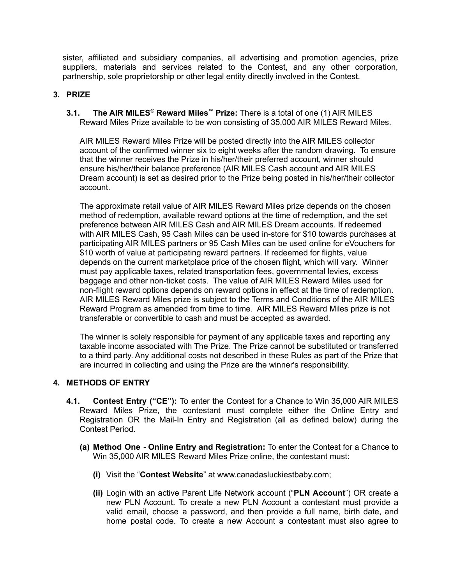sister, affiliated and subsidiary companies, all advertising and promotion agencies, prize suppliers, materials and services related to the Contest, and any other corporation, partnership, sole proprietorship or other legal entity directly involved in the Contest.

## **3. PRIZE**

**3.1. The AIR MILES ® Reward Miles™ Prize:** There is a total of one (1) AIR MILES Reward Miles Prize available to be won consisting of 35,000 AIR MILES Reward Miles.

AIR MILES Reward Miles Prize will be posted directly into the AIR MILES collector account of the confirmed winner six to eight weeks after the random drawing. To ensure that the winner receives the Prize in his/her/their preferred account, winner should ensure his/her/their balance preference (AIR MILES Cash account and AIR MILES Dream account) is set as desired prior to the Prize being posted in his/her/their collector account.

The approximate retail value of AIR MILES Reward Miles prize depends on the chosen method of redemption, available reward options at the time of redemption, and the set preference between AIR MILES Cash and AIR MILES Dream accounts. If redeemed with AIR MILES Cash, 95 Cash Miles can be used in-store for \$10 towards purchases at participating AIR MILES partners or 95 Cash Miles can be used online for eVouchers for \$10 worth of value at participating reward partners. If redeemed for flights, value depends on the current marketplace price of the chosen flight, which will vary. Winner must pay applicable taxes, related transportation fees, governmental levies, excess baggage and other non-ticket costs. The value of AIR MILES Reward Miles used for non-flight reward options depends on reward options in effect at the time of redemption. AIR MILES Reward Miles prize is subject to the Terms and Conditions of the AIR MILES Reward Program as amended from time to time. AIR MILES Reward Miles prize is not transferable or convertible to cash and must be accepted as awarded.

The winner is solely responsible for payment of any applicable taxes and reporting any taxable income associated with The Prize. The Prize cannot be substituted or transferred to a third party. Any additional costs not described in these Rules as part of the Prize that are incurred in collecting and using the Prize are the winner's responsibility.

# **4. METHODS OF ENTRY**

- **4.1. Contest Entry ("CE"):** To enter the Contest for a Chance to Win 35,000 AIR MILES Reward Miles Prize, the contestant must complete either the Online Entry and Registration OR the Mail-In Entry and Registration (all as defined below) during the Contest Period.
	- **(a) Method One - Online Entry and Registration:** To enter the Contest for a Chance to Win 35,000 AIR MILES Reward Miles Prize online, the contestant must:
		- **(i)** Visit the "**Contest Website**" at [www.canadasluckiestbaby.com;](http://www.canadasluckiestfamily.com)
		- **(ii)** Login with an active Parent Life Network account ("**PLN Account**") OR create a new PLN Account. To create a new PLN Account a contestant must provide a valid email, choose a password, and then provide a full name, birth date, and home postal code. To create a new Account a contestant must also agree to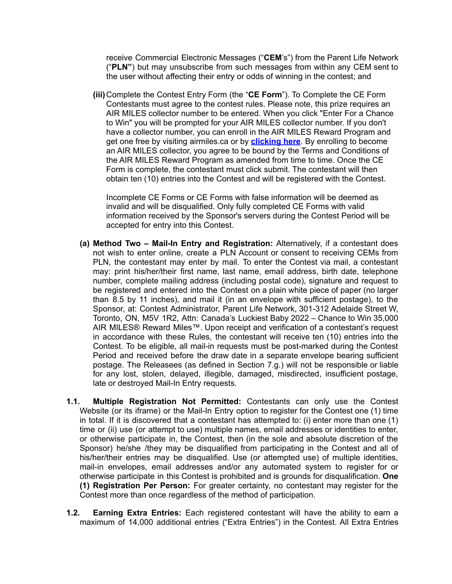receive Commercial Electronic Messages ("**CEM**'s") from the Parent Life Network ("**PLN"**) but may unsubscribe from such messages from within any CEM sent to the user without affecting their entry or odds of winning in the contest; and

**(iii)**Complete the Contest Entry Form (the "**CE Form**"). To Complete the CE Form Contestants must agree to the contest rules. Please note, this prize requires an AIR MILES collector number to be entered. When you click "Enter For a Chance to Win" you will be prompted for your AIR MILES collector number. If you don't have a collector number, you can enroll in the AIR MILES Reward Program and get one free by visiting airmiles.ca or by **[clicking](https://www.airmiles.ca/arrow/Enrollment?section=2) here**. By enrolling to become an AIR MILES collector, you agree to be bound by the Terms and Conditions of the AIR MILES Reward Program as amended from time to time. Once the CE Form is complete, the contestant must click submit. The contestant will then obtain ten (10) entries into the Contest and will be registered with the Contest.

Incomplete CE Forms or CE Forms with false information will be deemed as invalid and will be disqualified. Only fully completed CE Forms with valid information received by the Sponsor's servers during the Contest Period will be accepted for entry into this Contest.

- **(a) Method Two – Mail-In Entry and Registration:** Alternatively, if a contestant does not wish to enter online, create a PLN Account or consent to receiving CEMs from PLN, the contestant may enter by mail. To enter the Contest via mail, a contestant may: print his/her/their first name, last name, email address, birth date, telephone number, complete mailing address (including postal code), signature and request to be registered and entered into the Contest on a plain white piece of paper (no larger than 8.5 by 11 inches), and mail it (in an envelope with sufficient postage), to the Sponsor, at: Contest Administrator, Parent Life Network, 301-312 Adelaide Street W, Toronto, ON, M5V 1R2, Attn: Canada's Luckiest Baby 2022 – Chance to Win 35,000 AIR MILES® Reward Miles™. Upon receipt and verification of a contestant's request in accordance with these Rules, the contestant will receive ten (10) entries into the Contest. To be eligible, all mail-in requests must be post-marked during the Contest Period and received before the draw date in a separate envelope bearing sufficient postage. The Releasees (as defined in Section 7.g.) will not be responsible or liable for any lost, stolen, delayed, illegible, damaged, misdirected, insufficient postage, late or destroyed Mail-In Entry requests.
- **1.1. Multiple Registration Not Permitted:** Contestants can only use the Contest Website (or its iframe) or the Mail-In Entry option to register for the Contest one (1) time in total. If it is discovered that a contestant has attempted to: (i) enter more than one (1) time or (ii) use (or attempt to use) multiple names, email addresses or identities to enter, or otherwise participate in, the Contest, then (in the sole and absolute discretion of the Sponsor) he/she /they may be disqualified from participating in the Contest and all of his/her/their entries may be disqualified. Use (or attempted use) of multiple identities, mail-in envelopes, email addresses and/or any automated system to register for or otherwise participate in this Contest is prohibited and is grounds for disqualification. **One (1) Registration Per Person:** For greater certainty, no contestant may register for the Contest more than once regardless of the method of participation.
- **1.2. Earning Extra Entries:** Each registered contestant will have the ability to earn a maximum of 14,000 additional entries ("Extra Entries") in the Contest. All Extra Entries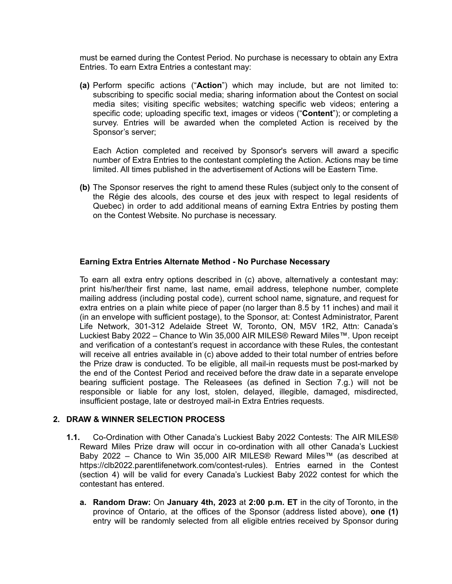must be earned during the Contest Period. No purchase is necessary to obtain any Extra Entries. To earn Extra Entries a contestant may:

**(a)** Perform specific actions ("**Action**") which may include, but are not limited to: subscribing to specific social media; sharing information about the Contest on social media sites; visiting specific websites; watching specific web videos; entering a specific code; uploading specific text, images or videos ("**Content**"); or completing a survey. Entries will be awarded when the completed Action is received by the Sponsor's server;

Each Action completed and received by Sponsor's servers will award a specific number of Extra Entries to the contestant completing the Action. Actions may be time limited. All times published in the advertisement of Actions will be Eastern Time.

**(b)** The Sponsor reserves the right to amend these Rules (subject only to the consent of the Régie des alcools, des course et des jeux with respect to legal residents of Quebec) in order to add additional means of earning Extra Entries by posting them on the Contest Website. No purchase is necessary.

## **Earning Extra Entries Alternate Method - No Purchase Necessary**

To earn all extra entry options described in (c) above, alternatively a contestant may: print his/her/their first name, last name, email address, telephone number, complete mailing address (including postal code), current school name, signature, and request for extra entries on a plain white piece of paper (no larger than 8.5 by 11 inches) and mail it (in an envelope with sufficient postage), to the Sponsor, at: Contest Administrator, Parent Life Network, 301-312 Adelaide Street W, Toronto, ON, M5V 1R2, Attn: Canada's Luckiest Baby 2022 – Chance to Win 35,000 AIR MILES® Reward Miles™. Upon receipt and verification of a contestant's request in accordance with these Rules, the contestant will receive all entries available in (c) above added to their total number of entries before the Prize draw is conducted. To be eligible, all mail-in requests must be post-marked by the end of the Contest Period and received before the draw date in a separate envelope bearing sufficient postage. The Releasees (as defined in Section 7.g.) will not be responsible or liable for any lost, stolen, delayed, illegible, damaged, misdirected, insufficient postage, late or destroyed mail-in Extra Entries requests.

#### **2. DRAW & WINNER SELECTION PROCESS**

- **1.1.** Co-Ordination with Other Canada's Luckiest Baby 2022 Contests: The AIR MILES® Reward Miles Prize draw will occur in co-ordination with all other Canada's Luckiest Baby 2022 – Chance to Win 35,000 AIR MILES® Reward Miles™ (as described at https://clb2022.parentlifenetwork.com/contest-rules). Entries earned in the Contest (section 4) will be valid for every Canada's Luckiest Baby 2022 contest for which the contestant has entered.
	- **a. Random Draw:** On **January 4th, 2023** at **2:00 p.m. ET** in the city of Toronto, in the province of Ontario, at the offices of the Sponsor (address listed above), **one (1)** entry will be randomly selected from all eligible entries received by Sponsor during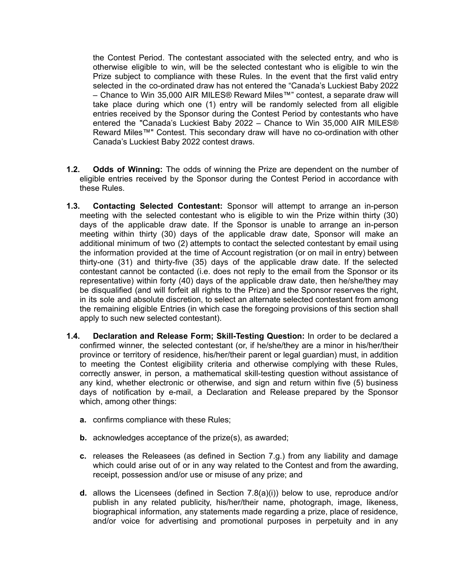the Contest Period. The contestant associated with the selected entry, and who is otherwise eligible to win, will be the selected contestant who is eligible to win the Prize subject to compliance with these Rules. In the event that the first valid entry selected in the co-ordinated draw has not entered the "Canada's Luckiest Baby 2022 – Chance to Win 35,000 AIR MILES® Reward Miles™" contest, a separate draw will take place during which one (1) entry will be randomly selected from all eligible entries received by the Sponsor during the Contest Period by contestants who have entered the "Canada's Luckiest Baby 2022 – Chance to Win 35,000 AIR MILES® Reward Miles™" Contest. This secondary draw will have no co-ordination with other Canada's Luckiest Baby 2022 contest draws.

- **1.2. Odds of Winning:** The odds of winning the Prize are dependent on the number of eligible entries received by the Sponsor during the Contest Period in accordance with these Rules.
- **1.3. Contacting Selected Contestant:** Sponsor will attempt to arrange an in-person meeting with the selected contestant who is eligible to win the Prize within thirty (30) days of the applicable draw date. If the Sponsor is unable to arrange an in-person meeting within thirty (30) days of the applicable draw date, Sponsor will make an additional minimum of two (2) attempts to contact the selected contestant by email using the information provided at the time of Account registration (or on mail in entry) between thirty-one (31) and thirty-five (35) days of the applicable draw date. If the selected contestant cannot be contacted (i.e. does not reply to the email from the Sponsor or its representative) within forty (40) days of the applicable draw date, then he/she/they may be disqualified (and will forfeit all rights to the Prize) and the Sponsor reserves the right, in its sole and absolute discretion, to select an alternate selected contestant from among the remaining eligible Entries (in which case the foregoing provisions of this section shall apply to such new selected contestant).
- **1.4. Declaration and Release Form; Skill-Testing Question:** In order to be declared a confirmed winner, the selected contestant (or, if he/she/they are a minor in his/her/their province or territory of residence, his/her/their parent or legal guardian) must, in addition to meeting the Contest eligibility criteria and otherwise complying with these Rules, correctly answer, in person, a mathematical skill-testing question without assistance of any kind, whether electronic or otherwise, and sign and return within five (5) business days of notification by e-mail, a Declaration and Release prepared by the Sponsor which, among other things:
	- **a.** confirms compliance with these Rules;
	- **b.** acknowledges acceptance of the prize(s), as awarded;
	- **c.** releases the Releasees (as defined in Section 7.g.) from any liability and damage which could arise out of or in any way related to the Contest and from the awarding, receipt, possession and/or use or misuse of any prize; and
	- **d.** allows the Licensees (defined in Section 7.8(a)(i)) below to use, reproduce and/or publish in any related publicity, his/her/their name, photograph, image, likeness, biographical information, any statements made regarding a prize, place of residence, and/or voice for advertising and promotional purposes in perpetuity and in any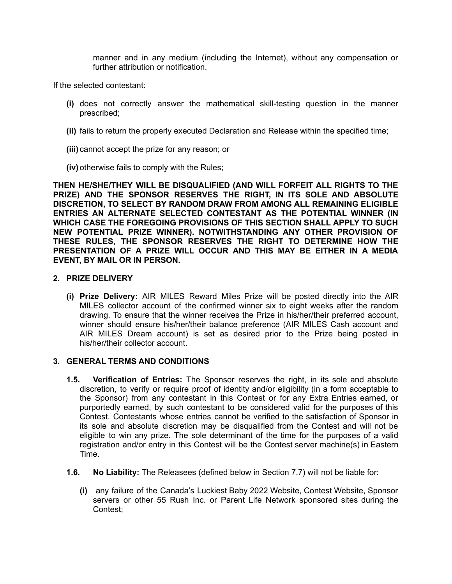manner and in any medium (including the Internet), without any compensation or further attribution or notification.

If the selected contestant:

- **(i)** does not correctly answer the mathematical skill-testing question in the manner prescribed;
- **(ii)** fails to return the properly executed Declaration and Release within the specified time;
- **(iii)** cannot accept the prize for any reason; or
- **(iv)**otherwise fails to comply with the Rules;

**THEN HE/SHE/THEY WILL BE DISQUALIFIED (AND WILL FORFEIT ALL RIGHTS TO THE PRIZE) AND THE SPONSOR RESERVES THE RIGHT, IN ITS SOLE AND ABSOLUTE DISCRETION, TO SELECT BY RANDOM DRAW FROM AMONG ALL REMAINING ELIGIBLE ENTRIES AN ALTERNATE SELECTED CONTESTANT AS THE POTENTIAL WINNER (IN WHICH CASE THE FOREGOING PROVISIONS OF THIS SECTION SHALL APPLY TO SUCH NEW POTENTIAL PRIZE WINNER). NOTWITHSTANDING ANY OTHER PROVISION OF THESE RULES, THE SPONSOR RESERVES THE RIGHT TO DETERMINE HOW THE PRESENTATION OF A PRIZE WILL OCCUR AND THIS MAY BE EITHER IN A MEDIA EVENT, BY MAIL OR IN PERSON.**

## **2. PRIZE DELIVERY**

**(i) Prize Delivery:** AIR MILES Reward Miles Prize will be posted directly into the AIR MILES collector account of the confirmed winner six to eight weeks after the random drawing. To ensure that the winner receives the Prize in his/her/their preferred account, winner should ensure his/her/their balance preference (AIR MILES Cash account and AIR MILES Dream account) is set as desired prior to the Prize being posted in his/her/their collector account.

#### **3. GENERAL TERMS AND CONDITIONS**

- **1.5. Verification of Entries:** The Sponsor reserves the right, in its sole and absolute discretion, to verify or require proof of identity and/or eligibility (in a form acceptable to the Sponsor) from any contestant in this Contest or for any Extra Entries earned, or purportedly earned, by such contestant to be considered valid for the purposes of this Contest. Contestants whose entries cannot be verified to the satisfaction of Sponsor in its sole and absolute discretion may be disqualified from the Contest and will not be eligible to win any prize. The sole determinant of the time for the purposes of a valid registration and/or entry in this Contest will be the Contest server machine(s) in Eastern Time.
- **1.6. No Liability:** The Releasees (defined below in Section 7.7) will not be liable for:
	- **(i)** any failure of the Canada's Luckiest Baby 2022 Website, Contest Website, Sponsor servers or other 55 Rush Inc. or Parent Life Network sponsored sites during the Contest;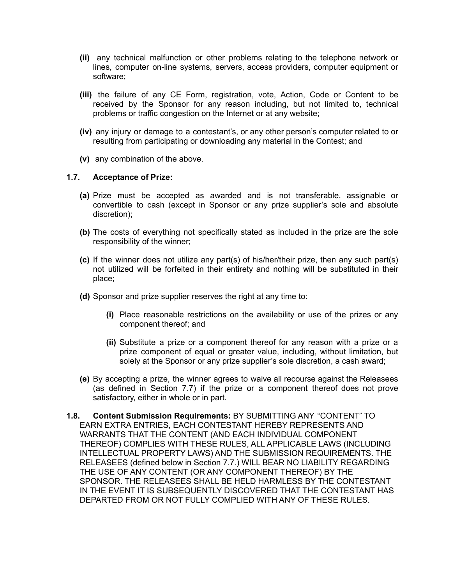- **(ii)** any technical malfunction or other problems relating to the telephone network or lines, computer on-line systems, servers, access providers, computer equipment or software;
- **(iii)** the failure of any CE Form, registration, vote, Action, Code or Content to be received by the Sponsor for any reason including, but not limited to, technical problems or traffic congestion on the Internet or at any website;
- **(iv)** any injury or damage to a contestant's, or any other person's computer related to or resulting from participating or downloading any material in the Contest; and
- **(v)** any combination of the above.

## **1.7. Acceptance of Prize:**

- **(a)** Prize must be accepted as awarded and is not transferable, assignable or convertible to cash (except in Sponsor or any prize supplier's sole and absolute discretion);
- **(b)** The costs of everything not specifically stated as included in the prize are the sole responsibility of the winner;
- **(c)** If the winner does not utilize any part(s) of his/her/their prize, then any such part(s) not utilized will be forfeited in their entirety and nothing will be substituted in their place;
- **(d)** Sponsor and prize supplier reserves the right at any time to:
	- **(i)** Place reasonable restrictions on the availability or use of the prizes or any component thereof; and
	- **(ii)** Substitute a prize or a component thereof for any reason with a prize or a prize component of equal or greater value, including, without limitation, but solely at the Sponsor or any prize supplier's sole discretion, a cash award;
- **(e)** By accepting a prize, the winner agrees to waive all recourse against the Releasees (as defined in Section 7.7) if the prize or a component thereof does not prove satisfactory, either in whole or in part.
- **1.8. Content Submission Requirements:** BY SUBMITTING ANY "CONTENT" TO EARN EXTRA ENTRIES, EACH CONTESTANT HEREBY REPRESENTS AND WARRANTS THAT THE CONTENT (AND EACH INDIVIDUAL COMPONENT THEREOF) COMPLIES WITH THESE RULES, ALL APPLICABLE LAWS (INCLUDING INTELLECTUAL PROPERTY LAWS) AND THE SUBMISSION REQUIREMENTS. THE RELEASEES (defined below in Section 7.7.) WILL BEAR NO LIABILITY REGARDING THE USE OF ANY CONTENT (OR ANY COMPONENT THEREOF) BY THE SPONSOR. THE RELEASEES SHALL BE HELD HARMLESS BY THE CONTESTANT IN THE EVENT IT IS SUBSEQUENTLY DISCOVERED THAT THE CONTESTANT HAS DEPARTED FROM OR NOT FULLY COMPLIED WITH ANY OF THESE RULES.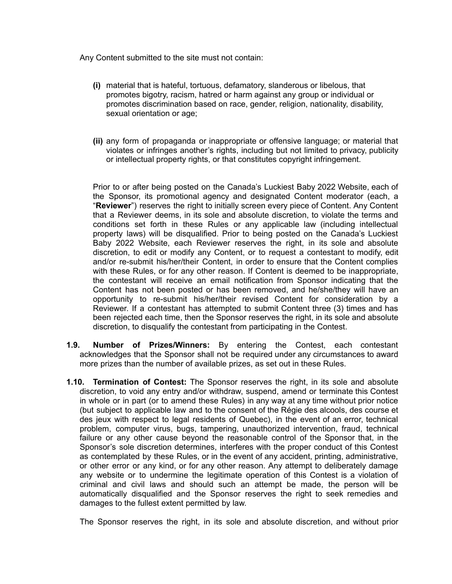Any Content submitted to the site must not contain:

- **(i)** material that is hateful, tortuous, defamatory, slanderous or libelous, that promotes bigotry, racism, hatred or harm against any group or individual or promotes discrimination based on race, gender, religion, nationality, disability, sexual orientation or age;
- **(ii)** any form of propaganda or inappropriate or offensive language; or material that violates or infringes another's rights, including but not limited to privacy, publicity or intellectual property rights, or that constitutes copyright infringement.

Prior to or after being posted on the Canada's Luckiest Baby 2022 Website, each of the Sponsor, its promotional agency and designated Content moderator (each, a "**Reviewer**") reserves the right to initially screen every piece of Content. Any Content that a Reviewer deems, in its sole and absolute discretion, to violate the terms and conditions set forth in these Rules or any applicable law (including intellectual property laws) will be disqualified. Prior to being posted on the Canada's Luckiest Baby 2022 Website, each Reviewer reserves the right, in its sole and absolute discretion, to edit or modify any Content, or to request a contestant to modify, edit and/or re-submit his/her/their Content, in order to ensure that the Content complies with these Rules, or for any other reason. If Content is deemed to be inappropriate, the contestant will receive an email notification from Sponsor indicating that the Content has not been posted or has been removed, and he/she/they will have an opportunity to re-submit his/her/their revised Content for consideration by a Reviewer. If a contestant has attempted to submit Content three (3) times and has been rejected each time, then the Sponsor reserves the right, in its sole and absolute discretion, to disqualify the contestant from participating in the Contest.

- **1.9. Number of Prizes/Winners:** By entering the Contest, each contestant acknowledges that the Sponsor shall not be required under any circumstances to award more prizes than the number of available prizes, as set out in these Rules.
- **1.10. Termination of Contest:** The Sponsor reserves the right, in its sole and absolute discretion, to void any entry and/or withdraw, suspend, amend or terminate this Contest in whole or in part (or to amend these Rules) in any way at any time without prior notice (but subject to applicable law and to the consent of the Régie des alcools, des course et des jeux with respect to legal residents of Quebec), in the event of an error, technical problem, computer virus, bugs, tampering, unauthorized intervention, fraud, technical failure or any other cause beyond the reasonable control of the Sponsor that, in the Sponsor's sole discretion determines, interferes with the proper conduct of this Contest as contemplated by these Rules, or in the event of any accident, printing, administrative, or other error or any kind, or for any other reason. Any attempt to deliberately damage any website or to undermine the legitimate operation of this Contest is a violation of criminal and civil laws and should such an attempt be made, the person will be automatically disqualified and the Sponsor reserves the right to seek remedies and damages to the fullest extent permitted by law.

The Sponsor reserves the right, in its sole and absolute discretion, and without prior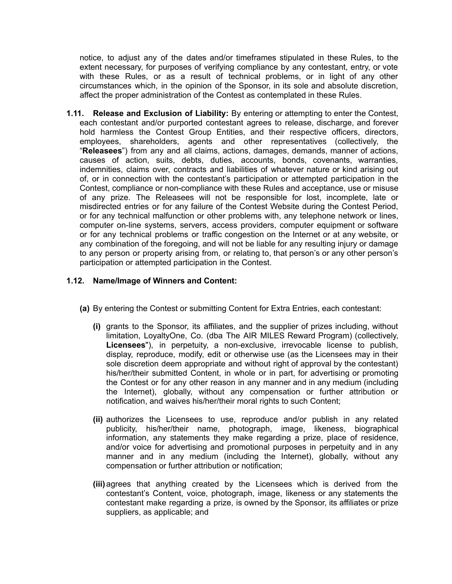notice, to adjust any of the dates and/or timeframes stipulated in these Rules, to the extent necessary, for purposes of verifying compliance by any contestant, entry, or vote with these Rules, or as a result of technical problems, or in light of any other circumstances which, in the opinion of the Sponsor, in its sole and absolute discretion, affect the proper administration of the Contest as contemplated in these Rules.

**1.11. Release and Exclusion of Liability:** By entering or attempting to enter the Contest, each contestant and/or purported contestant agrees to release, discharge, and forever hold harmless the Contest Group Entities, and their respective officers, directors, employees, shareholders, agents and other representatives (collectively, the "**Releasees**") from any and all claims, actions, damages, demands, manner of actions, causes of action, suits, debts, duties, accounts, bonds, covenants, warranties, indemnities, claims over, contracts and liabilities of whatever nature or kind arising out of, or in connection with the contestant's participation or attempted participation in the Contest, compliance or non-compliance with these Rules and acceptance, use or misuse of any prize. The Releasees will not be responsible for lost, incomplete, late or misdirected entries or for any failure of the Contest Website during the Contest Period, or for any technical malfunction or other problems with, any telephone network or lines, computer on-line systems, servers, access providers, computer equipment or software or for any technical problems or traffic congestion on the Internet or at any website, or any combination of the foregoing, and will not be liable for any resulting injury or damage to any person or property arising from, or relating to, that person's or any other person's participation or attempted participation in the Contest.

# **1.12. Name/Image of Winners and Content:**

- **(a)** By entering the Contest or submitting Content for Extra Entries, each contestant:
	- **(i)** grants to the Sponsor, its affiliates, and the supplier of prizes including, without limitation, LoyaltyOne, Co. (dba The AIR MILES Reward Program) (collectively, **Licensees**"), in perpetuity, a non-exclusive, irrevocable license to publish, display, reproduce, modify, edit or otherwise use (as the Licensees may in their sole discretion deem appropriate and without right of approval by the contestant) his/her/their submitted Content, in whole or in part, for advertising or promoting the Contest or for any other reason in any manner and in any medium (including the Internet), globally, without any compensation or further attribution or notification, and waives his/her/their moral rights to such Content;
	- **(ii)** authorizes the Licensees to use, reproduce and/or publish in any related publicity, his/her/their name, photograph, image, likeness, biographical information, any statements they make regarding a prize, place of residence, and/or voice for advertising and promotional purposes in perpetuity and in any manner and in any medium (including the Internet), globally, without any compensation or further attribution or notification;
	- **(iii)**agrees that anything created by the Licensees which is derived from the contestant's Content, voice, photograph, image, likeness or any statements the contestant make regarding a prize, is owned by the Sponsor, its affiliates or prize suppliers, as applicable; and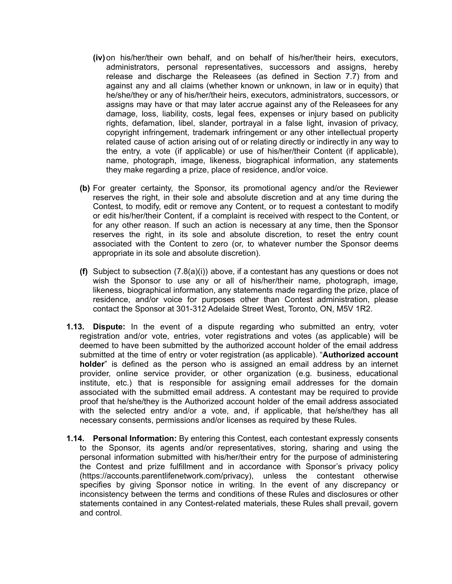- **(iv)**on his/her/their own behalf, and on behalf of his/her/their heirs, executors, administrators, personal representatives, successors and assigns, hereby release and discharge the Releasees (as defined in Section 7.7) from and against any and all claims (whether known or unknown, in law or in equity) that he/she/they or any of his/her/their heirs, executors, administrators, successors, or assigns may have or that may later accrue against any of the Releasees for any damage, loss, liability, costs, legal fees, expenses or injury based on publicity rights, defamation, libel, slander, portrayal in a false light, invasion of privacy, copyright infringement, trademark infringement or any other intellectual property related cause of action arising out of or relating directly or indirectly in any way to the entry, a vote (if applicable) or use of his/her/their Content (if applicable), name, photograph, image, likeness, biographical information, any statements they make regarding a prize, place of residence, and/or voice.
- **(b)** For greater certainty, the Sponsor, its promotional agency and/or the Reviewer reserves the right, in their sole and absolute discretion and at any time during the Contest, to modify, edit or remove any Content, or to request a contestant to modify or edit his/her/their Content, if a complaint is received with respect to the Content, or for any other reason. If such an action is necessary at any time, then the Sponsor reserves the right, in its sole and absolute discretion, to reset the entry count associated with the Content to zero (or, to whatever number the Sponsor deems appropriate in its sole and absolute discretion).
- **(f)** Subject to subsection (7.8(a)(i)) above, if a contestant has any questions or does not wish the Sponsor to use any or all of his/her/their name, photograph, image, likeness, biographical information, any statements made regarding the prize, place of residence, and/or voice for purposes other than Contest administration, please contact the Sponsor at 301-312 Adelaide Street West, Toronto, ON, M5V 1R2.
- **1.13. Dispute:** In the event of a dispute regarding who submitted an entry, voter registration and/or vote, entries, voter registrations and votes (as applicable) will be deemed to have been submitted by the authorized account holder of the email address submitted at the time of entry or voter registration (as applicable). "**Authorized account holder**" is defined as the person who is assigned an email address by an internet provider, online service provider, or other organization (e.g. business, educational institute, etc.) that is responsible for assigning email addresses for the domain associated with the submitted email address. A contestant may be required to provide proof that he/she/they is the Authorized account holder of the email address associated with the selected entry and/or a vote, and, if applicable, that he/she/they has all necessary consents, permissions and/or licenses as required by these Rules.
- **1.14. Personal Information:** By entering this Contest, each contestant expressly consents to the Sponsor, its agents and/or representatives, storing, sharing and using the personal information submitted with his/her/their entry for the purpose of administering the Contest and prize fulfillment and in accordance with Sponsor's privacy policy (https://accounts.parentlifenetwork.com/privacy), unless the contestant otherwise specifies by giving Sponsor notice in writing. In the event of any discrepancy or inconsistency between the terms and conditions of these Rules and disclosures or other statements contained in any Contest-related materials, these Rules shall prevail, govern and control.